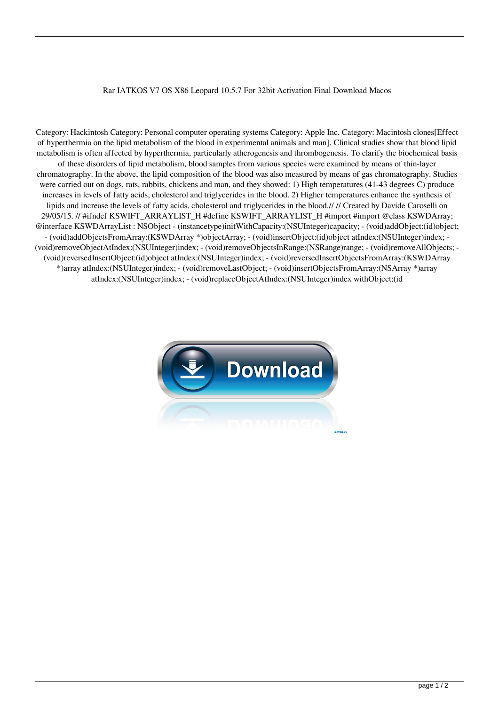## Rar IATKOS V7 OS X86 Leopard 10.5.7 For 32bit Activation Final Download Macos

Category: Hackintosh Category: Personal computer operating systems Category: Apple Inc. Category: Macintosh clones[Effect of hyperthermia on the lipid metabolism of the blood in experimental animals and man]. Clinical studies show that blood lipid metabolism is often affected by hyperthermia, particularly atherogenesis and thrombogenesis. To clarify the biochemical basis of these disorders of lipid metabolism, blood samples from various species were examined by means of thin-layer chromatography. In the above, the lipid composition of the blood was also measured by means of gas chromatography. Studies were carried out on dogs, rats, rabbits, chickens and man, and they showed: 1) High temperatures (41-43 degrees C) produce increases in levels of fatty acids, cholesterol and triglycerides in the blood. 2) Higher temperatures enhance the synthesis of lipids and increase the levels of fatty acids, cholesterol and triglycerides in the blood.// // Created by Davide Caroselli on 29/05/15. // #ifndef KSWIFT\_ARRAYLIST\_H #define KSWIFT\_ARRAYLIST\_H #import #import @class KSWDArray; @interface KSWDArrayList : NSObject - (instancetype)initWithCapacity:(NSUInteger)capacity; - (void)addObject:(id)object; - (void)addObjectsFromArray:(KSWDArray \*)objectArray; - (void)insertObject:(id)object atIndex:(NSUInteger)index; - (void)removeObjectAtIndex:(NSUInteger)index; - (void)removeObjectsInRange:(NSRange)range; - (void)removeAllObjects; - (void)reversedInsertObject:(id)object atIndex:(NSUInteger)index; - (void)reversedInsertObjectsFromArray:(KSWDArray \*)array atIndex:(NSUInteger)index; - (void)removeLastObject; - (void)insertObjectsFromArray:(NSArray \*)array atIndex:(NSUInteger)index; - (void)replaceObjectAtIndex:(NSUInteger)index withObject:(id